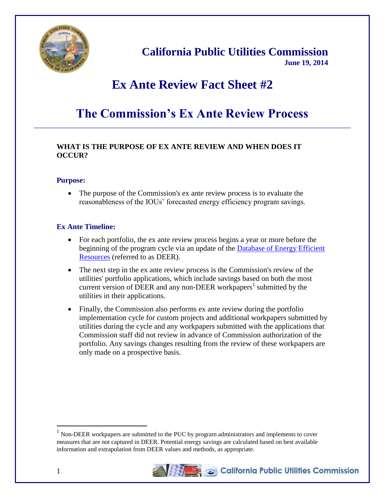

# **California Public Utilities Commission June 19, 2014**

# **Ex Ante Review Fact Sheet #2**

# **The Commission's Ex Ante Review Process** \_\_\_\_\_\_\_\_\_\_\_\_\_\_\_\_\_\_\_\_\_\_\_\_\_\_\_\_\_\_\_\_\_\_\_\_\_\_\_\_\_\_\_\_\_\_\_\_\_\_\_\_\_\_\_\_\_\_\_\_\_\_\_\_\_\_\_\_\_\_\_\_\_\_\_\_\_\_\_\_\_\_\_\_

# **WHAT IS THE PURPOSE OF EX ANTE REVIEW AND WHEN DOES IT OCCUR?**

#### **Purpose:**

• The purpose of the Commission's ex ante review process is to evaluate the reasonableness of the IOUs' forecasted energy efficiency program savings.

## **Ex Ante Timeline:**

- For each portfolio, the ex ante review process begins a year or more before the beginning of the program cycle via an update of the Database of Energy Efficient [Resources](http://www.deeresources.com/) (referred to as DEER).
- The next step in the ex ante review process is the Commission's review of the utilities' portfolio applications, which include savings based on both the most current version of DEER and any non-DEER workpapers<sup>1</sup> submitted by the utilities in their applications.
- Finally, the Commission also performs ex ante review during the portfolio implementation cycle for custom projects and additional workpapers submitted by utilities during the cycle and any workpapers submitted with the applications that Commission staff did not review in advance of Commission authorization of the portfolio. Any savings changes resulting from the review of these workpapers are only made on a prospective basis.

 $<sup>1</sup>$  Non-DEER workpapers are submitted to the PUC by program administrators and implements to cover</sup> measures that are not captured in DEER. Potential energy savings are calculated based on best available information and extrapolation from DEER values and methods, as appropriate.



 $\overline{a}$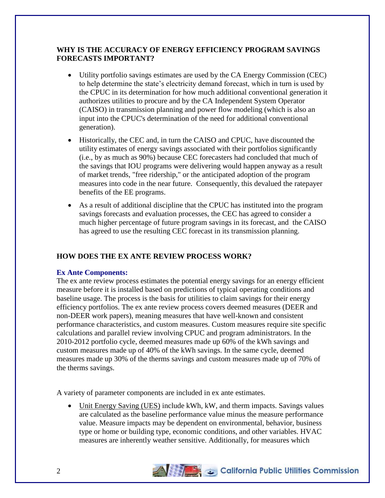# **WHY IS THE ACCURACY OF ENERGY EFFICIENCY PROGRAM SAVINGS FORECASTS IMPORTANT?**

- Utility portfolio savings estimates are used by the CA Energy Commission (CEC) to help determine the state's electricity demand forecast, which in turn is used by the CPUC in its determination for how much additional conventional generation it authorizes utilities to procure and by the CA Independent System Operator (CAISO) in transmission planning and power flow modeling (which is also an input into the CPUC's determination of the need for additional conventional generation).
- Historically, the CEC and, in turn the CAISO and CPUC, have discounted the utility estimates of energy savings associated with their portfolios significantly (i.e., by as much as 90%) because CEC forecasters had concluded that much of the savings that IOU programs were delivering would happen anyway as a result of market trends, "free ridership," or the anticipated adoption of the program measures into code in the near future. Consequently, this devalued the ratepayer benefits of the EE programs.
- As a result of additional discipline that the CPUC has instituted into the program savings forecasts and evaluation processes, the CEC has agreed to consider a much higher percentage of future program savings in its forecast, and the CAISO has agreed to use the resulting CEC forecast in its transmission planning.

# **HOW DOES THE EX ANTE REVIEW PROCESS WORK?**

#### **Ex Ante Components:**

The ex ante review process estimates the potential energy savings for an energy efficient measure before it is installed based on predictions of typical operating conditions and baseline usage. The process is the basis for utilities to claim savings for their energy efficiency portfolios. The ex ante review process covers deemed measures (DEER and non-DEER work papers), meaning measures that have well-known and consistent performance characteristics, and custom measures. Custom measures require site specific calculations and parallel review involving CPUC and program administrators. In the 2010-2012 portfolio cycle, deemed measures made up 60% of the kWh savings and custom measures made up of 40% of the kWh savings. In the same cycle, deemed measures made up 30% of the therms savings and custom measures made up of 70% of the therms savings.

A variety of parameter components are included in ex ante estimates.

 Unit Energy Saving (UES) include kWh, kW, and therm impacts. Savings values are calculated as the baseline performance value minus the measure performance value. Measure impacts may be dependent on environmental, behavior, business type or home or building type, economic conditions, and other variables. HVAC measures are inherently weather sensitive. Additionally, for measures which

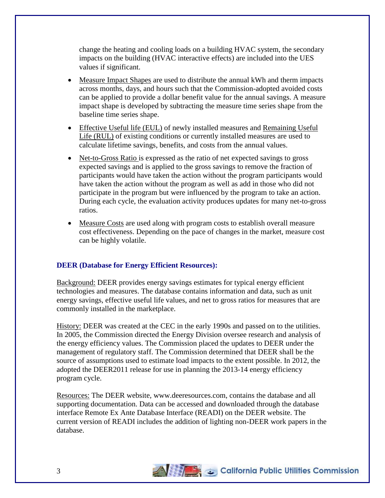change the heating and cooling loads on a building HVAC system, the secondary impacts on the building (HVAC interactive effects) are included into the UES values if significant.

- Measure Impact Shapes are used to distribute the annual kWh and therm impacts across months, days, and hours such that the Commission-adopted avoided costs can be applied to provide a dollar benefit value for the annual savings. A measure impact shape is developed by subtracting the measure time series shape from the baseline time series shape.
- Effective Useful life (EUL) of newly installed measures and Remaining Useful Life (RUL) of existing conditions or currently installed measures are used to calculate lifetime savings, benefits, and costs from the annual values.
- Net-to-Gross Ratio is expressed as the ratio of net expected savings to gross expected savings and is applied to the gross savings to remove the fraction of participants would have taken the action without the program participants would have taken the action without the program as well as add in those who did not participate in the program but were influenced by the program to take an action. During each cycle, the evaluation activity produces updates for many net-to-gross ratios.
- Measure Costs are used along with program costs to establish overall measure cost effectiveness. Depending on the pace of changes in the market, measure cost can be highly volatile.

## **DEER (Database for Energy Efficient Resources):**

Background: DEER provides energy savings estimates for typical energy efficient technologies and measures. The database contains information and data, such as unit energy savings, effective useful life values, and net to gross ratios for measures that are commonly installed in the marketplace.

History: DEER was created at the CEC in the early 1990s and passed on to the utilities. In 2005, the Commission directed the Energy Division oversee research and analysis of the energy efficiency values. The Commission placed the updates to DEER under the management of regulatory staff. The Commission determined that DEER shall be the source of assumptions used to estimate load impacts to the extent possible. In 2012, the adopted the DEER2011 release for use in planning the 2013-14 energy efficiency program cycle.

Resources: The DEER website, www.deeresources.com, contains the database and all supporting documentation. Data can be accessed and downloaded through the database interface Remote Ex Ante Database Interface (READI) on the DEER website. The current version of READI includes the addition of lighting non-DEER work papers in the database.

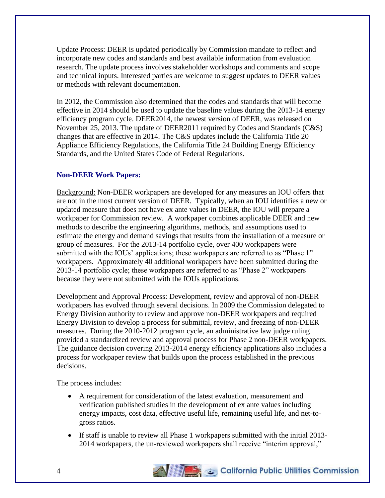Update Process: DEER is updated periodically by Commission mandate to reflect and incorporate new codes and standards and best available information from evaluation research. The update process involves stakeholder workshops and comments and scope and technical inputs. Interested parties are welcome to suggest updates to DEER values or methods with relevant documentation.

In 2012, the Commission also determined that the codes and standards that will become effective in 2014 should be used to update the baseline values during the 2013-14 energy efficiency program cycle. DEER2014, the newest version of DEER, was released on November 25, 2013. The update of DEER2011 required by Codes and Standards (C&S) changes that are effective in 2014. The C&S updates include the California Title 20 Appliance Efficiency Regulations, the California Title 24 Building Energy Efficiency Standards, and the United States Code of Federal Regulations.

# **Non-DEER Work Papers:**

Background: Non-DEER workpapers are developed for any measures an IOU offers that are not in the most current version of DEER. Typically, when an IOU identifies a new or updated measure that does not have ex ante values in DEER, the IOU will prepare a workpaper for Commission review. A workpaper combines applicable DEER and new methods to describe the engineering algorithms, methods, and assumptions used to estimate the energy and demand savings that results from the installation of a measure or group of measures. For the 2013-14 portfolio cycle, over 400 workpapers were submitted with the IOUs' applications; these workpapers are referred to as "Phase 1" workpapers. Approximately 40 additional workpapers have been submitted during the 2013-14 portfolio cycle; these workpapers are referred to as "Phase 2" workpapers because they were not submitted with the IOUs applications.

Development and Approval Process: Development, review and approval of non-DEER workpapers has evolved through several decisions. In 2009 the Commission delegated to Energy Division authority to review and approve non-DEER workpapers and required Energy Division to develop a process for submittal, review, and freezing of non-DEER measures. During the 2010-2012 program cycle, an administrative law judge ruling provided a standardized review and approval process for Phase 2 non-DEER workpapers. The guidance decision covering 2013-2014 energy efficiency applications also includes a process for workpaper review that builds upon the process established in the previous decisions.

The process includes:

- A requirement for consideration of the latest evaluation, measurement and verification published studies in the development of ex ante values including energy impacts, cost data, effective useful life, remaining useful life, and net-togross ratios.
- If staff is unable to review all Phase 1 workpapers submitted with the initial 2013- 2014 workpapers, the un-reviewed workpapers shall receive "interim approval,"

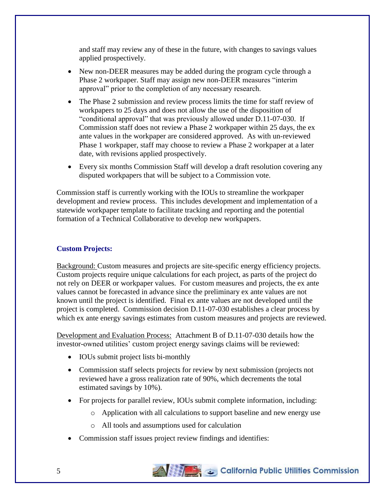and staff may review any of these in the future, with changes to savings values applied prospectively.

- New non-DEER measures may be added during the program cycle through a Phase 2 workpaper. Staff may assign new non-DEER measures "interim approval" prior to the completion of any necessary research.
- The Phase 2 submission and review process limits the time for staff review of workpapers to 25 days and does not allow the use of the disposition of "conditional approval" that was previously allowed under D.11-07-030. If Commission staff does not review a Phase 2 workpaper within 25 days, the ex ante values in the workpaper are considered approved. As with un-reviewed Phase 1 workpaper, staff may choose to review a Phase 2 workpaper at a later date, with revisions applied prospectively.
- Every six months Commission Staff will develop a draft resolution covering any disputed workpapers that will be subject to a Commission vote.

Commission staff is currently working with the IOUs to streamline the workpaper development and review process. This includes development and implementation of a statewide workpaper template to facilitate tracking and reporting and the potential formation of a Technical Collaborative to develop new workpapers.

## **Custom Projects:**

Background: Custom measures and projects are site-specific energy efficiency projects. Custom projects require unique calculations for each project, as parts of the project do not rely on DEER or workpaper values. For custom measures and projects, the ex ante values cannot be forecasted in advance since the preliminary ex ante values are not known until the project is identified. Final ex ante values are not developed until the project is completed. Commission decision D.11-07-030 establishes a clear process by which ex ante energy savings estimates from custom measures and projects are reviewed.

Development and Evaluation Process: Attachment B of D.11-07-030 details how the investor-owned utilities' custom project energy savings claims will be reviewed:

- IOUs submit project lists bi-monthly
- Commission staff selects projects for review by next submission (projects not reviewed have a gross realization rate of 90%, which decrements the total estimated savings by 10%).
- For projects for parallel review, IOUs submit complete information, including:
	- o Application with all calculations to support baseline and new energy use
	- o All tools and assumptions used for calculation
- Commission staff issues project review findings and identifies: